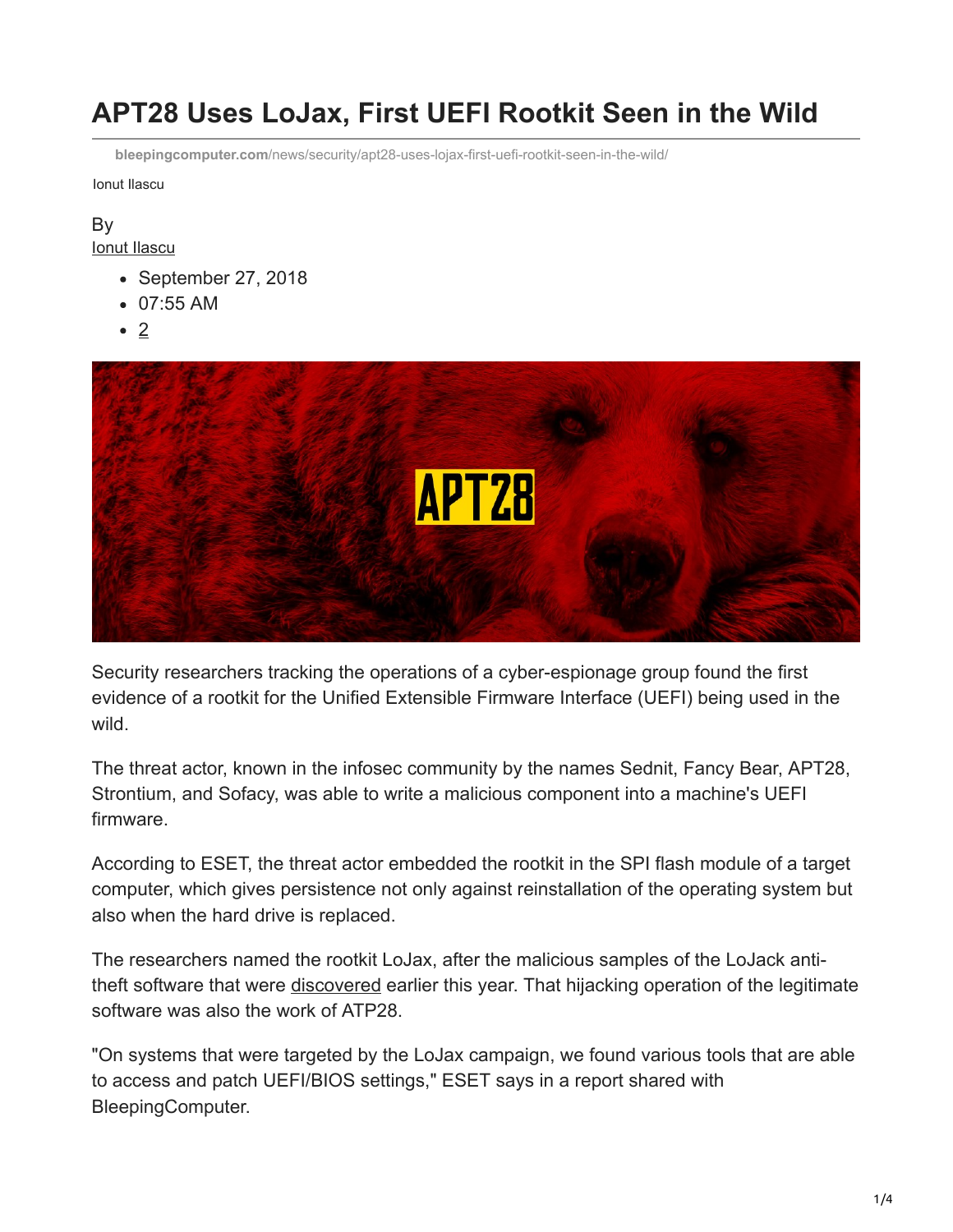# **APT28 Uses LoJax, First UEFI Rootkit Seen in the Wild**

**bleepingcomputer.com**[/news/security/apt28-uses-lojax-first-uefi-rootkit-seen-in-the-wild/](https://www.bleepingcomputer.com/news/security/apt28-uses-lojax-first-uefi-rootkit-seen-in-the-wild/)

Ionut Ilascu

## By

[Ionut Ilascu](https://www.bleepingcomputer.com/author/ionut-ilascu/)

- September 27, 2018
- 07:55 AM
- $\bullet$  2



Security researchers tracking the operations of a cyber-espionage group found the first evidence of a rootkit for the Unified Extensible Firmware Interface (UEFI) being used in the wild.

The threat actor, known in the infosec community by the names Sednit, Fancy Bear, APT28, Strontium, and Sofacy, was able to write a malicious component into a machine's UEFI firmware.

According to ESET, the threat actor embedded the rootkit in the SPI flash module of a target computer, which gives persistence not only against reinstallation of the operating system but also when the hard drive is replaced.

The researchers named the rootkit LoJax, after the malicious samples of the LoJack antitheft software that were [discovered](https://www.bleepingcomputer.com/news/security/apt28-hackers-caught-hijacking-legitimate-lojack-software/) earlier this year. That hijacking operation of the legitimate software was also the work of ATP28.

"On systems that were targeted by the LoJax campaign, we found various tools that are able to access and patch UEFI/BIOS settings," ESET says in a report shared with BleepingComputer.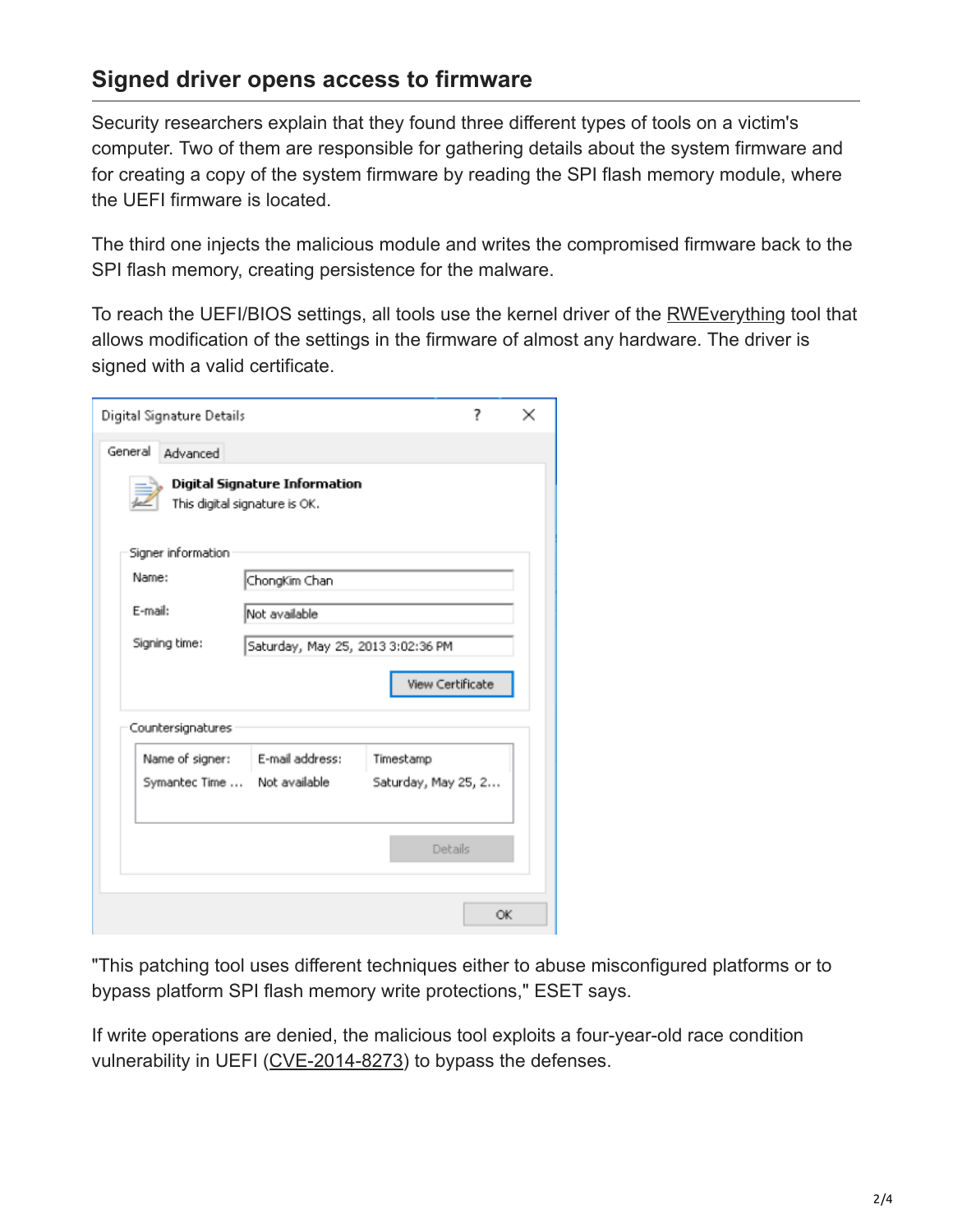#### **Signed driver opens access to firmware**

Security researchers explain that they found three different types of tools on a victim's computer. Two of them are responsible for gathering details about the system firmware and for creating a copy of the system firmware by reading the SPI flash memory module, where the UEFI firmware is located.

The third one injects the malicious module and writes the compromised firmware back to the SPI flash memory, creating persistence for the malware.

To reach the UEFI/BIOS settings, all tools use the kernel driver of the [RWEverything](http://rweverything.com/) tool that allows modification of the settings in the firmware of almost any hardware. The driver is signed with a valid certificate.

| Digital Signature Details |                                                                |           | 7                   | × |  |
|---------------------------|----------------------------------------------------------------|-----------|---------------------|---|--|
| General<br>Advanced       |                                                                |           |                     |   |  |
|                           | Digital Signature Information<br>This digital signature is OK. |           |                     |   |  |
| Signer information        |                                                                |           |                     |   |  |
| Name:                     | ChongKim Chan                                                  |           |                     |   |  |
| E-mail:                   | Not available                                                  |           |                     |   |  |
| Signing time:             | Saturday, May 25, 2013 3:02:36 PM                              |           |                     |   |  |
|                           |                                                                |           | View Certificate    |   |  |
| Countersignatures         |                                                                |           |                     |   |  |
| Name of signer:           | E-mail address:<br>Symantec Time  Not available                | Timestamp | Saturday, May 25, 2 |   |  |
|                           |                                                                |           | Details             |   |  |
|                           |                                                                |           | OK                  |   |  |

"This patching tool uses different techniques either to abuse misconfigured platforms or to bypass platform SPI flash memory write protections," ESET says.

If write operations are denied, the malicious tool exploits a four-year-old race condition vulnerability in UEFI ([CVE-2014-8273](https://www.kb.cert.org/vuls/id/766164)) to bypass the defenses.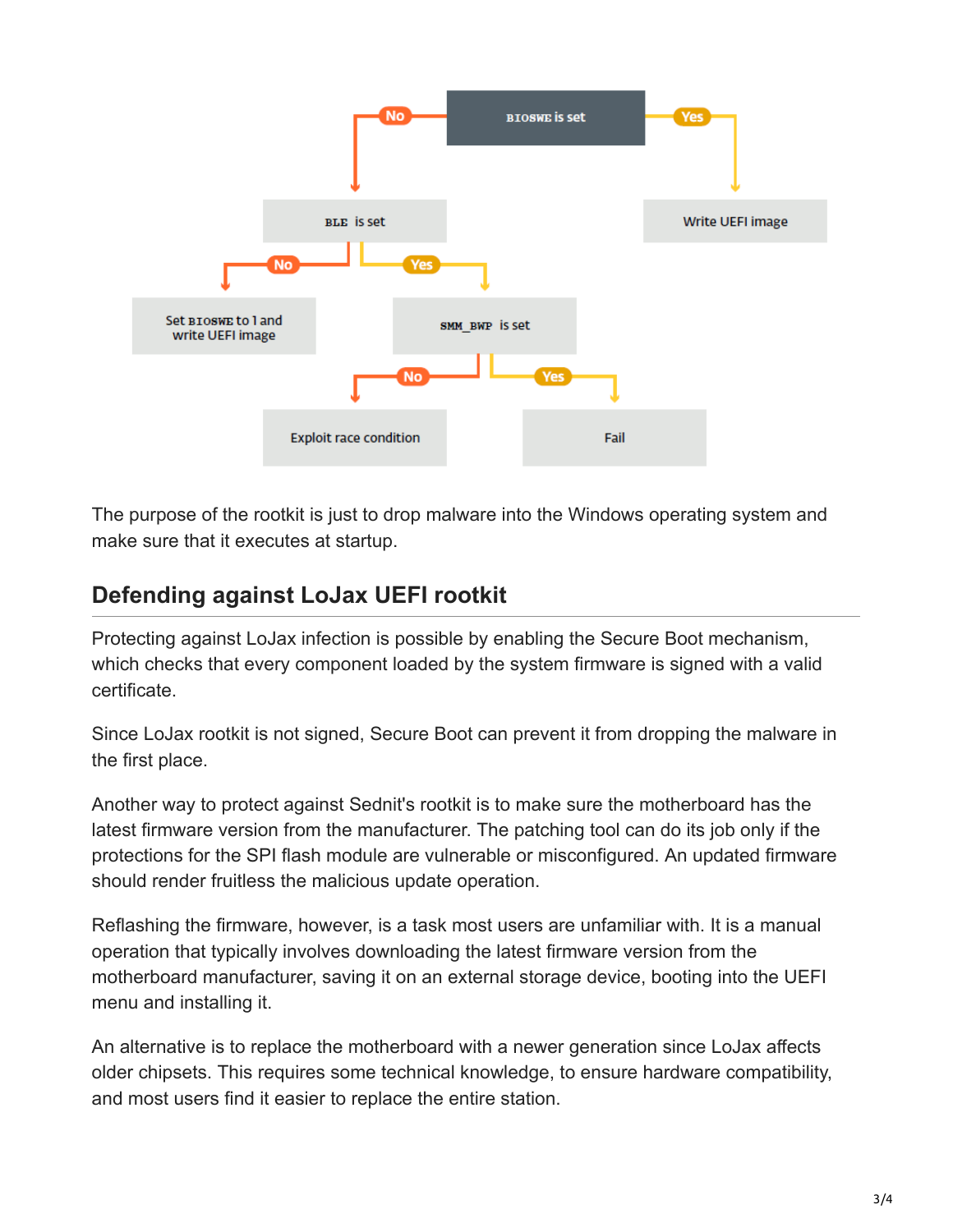

The purpose of the rootkit is just to drop malware into the Windows operating system and make sure that it executes at startup.

### **Defending against LoJax UEFI rootkit**

Protecting against LoJax infection is possible by enabling the Secure Boot mechanism, which checks that every component loaded by the system firmware is signed with a valid certificate.

Since LoJax rootkit is not signed, Secure Boot can prevent it from dropping the malware in the first place.

Another way to protect against Sednit's rootkit is to make sure the motherboard has the latest firmware version from the manufacturer. The patching tool can do its job only if the protections for the SPI flash module are vulnerable or misconfigured. An updated firmware should render fruitless the malicious update operation.

Reflashing the firmware, however, is a task most users are unfamiliar with. It is a manual operation that typically involves downloading the latest firmware version from the motherboard manufacturer, saving it on an external storage device, booting into the UEFI menu and installing it.

An alternative is to replace the motherboard with a newer generation since LoJax affects older chipsets. This requires some technical knowledge, to ensure hardware compatibility, and most users find it easier to replace the entire station.